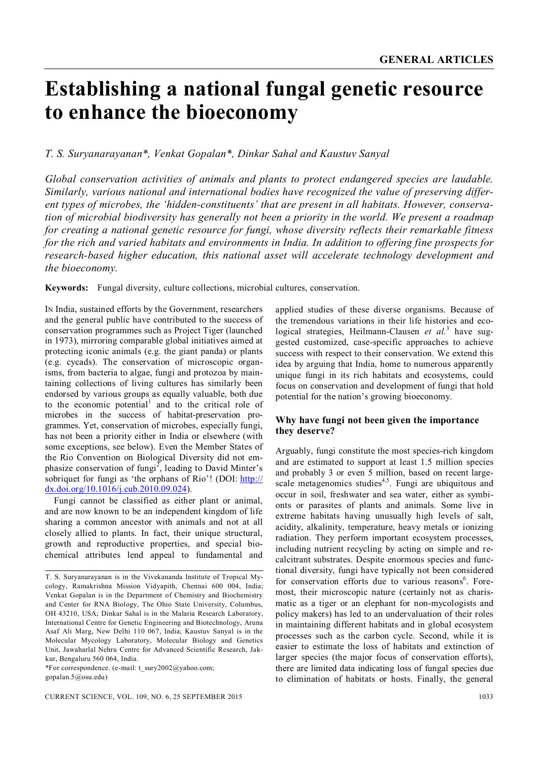# **Establishing a national fungal genetic resource to enhance the bioeconomy**

## *T. S. Suryanarayanan\*, Venkat Gopalan\*, Dinkar Sahal and Kaustuv Sanyal*

*Global conservation activities of animals and plants to protect endangered species are laudable. Similarly, various national and international bodies have recognized the value of preserving different types of microbes, the 'hidden-constituents' that are present in all habitats. However, conservation of microbial biodiversity has generally not been a priority in the world. We present a roadmap for creating a national genetic resource for fungi, whose diversity reflects their remarkable fitness for the rich and varied habitats and environments in India. In addition to offering fine prospects for research-based higher education, this national asset will accelerate technology development and the bioeconomy.*

**Keywords:** Fungal diversity, culture collections, microbial cultures, conservation.

IN India, sustained efforts by the Government, researchers and the general public have contributed to the success of conservation programmes such as Project Tiger (launched in 1973), mirroring comparable global initiatives aimed at protecting iconic animals (e.g. the giant panda) or plants (e.g. cycads). The conservation of microscopic organisms, from bacteria to algae, fungi and protozoa by maintaining collections of living cultures has similarly been endorsed by various groups as equally valuable, both due to the economic potential<sup>1</sup> and to the critical role of microbes in the success of habitat-preservation programmes. Yet, conservation of microbes, especially fungi, has not been a priority either in India or elsewhere (with some exceptions, see below). Even the Member States of the Rio Convention on Biological Diversity did not emphasize conservation of fungi<sup>2</sup>, leading to David Minter's sobriquet for fungi as 'the orphans of Rio'! (DOI: http:// dx.doi.org/10.1016/j.cub.2010.09.024).

Fungi cannot be classified as either plant or animal, and are now known to be an independent kingdom of life sharing a common ancestor with animals and not at all closely allied to plants. In fact, their unique structural, growth and reproductive properties, and special biochemical attributes lend appeal to fundamental and

\*For correspondence. (e-mail: t\_sury2002@yahoo.com; gopalan.5@osu.edu)

applied studies of these diverse organisms. Because of the tremendous variations in their life histories and ecological strategies, Heilmann-Clausen *et al.*<sup>3</sup> have suggested customized, case-specific approaches to achieve success with respect to their conservation. We extend this idea by arguing that India, home to numerous apparently unique fungi in its rich habitats and ecosystems, could focus on conservation and development of fungi that hold potential for the nation's growing bioeconomy.

### **Why have fungi not been given the importance they deserve?**

Arguably, fungi constitute the most species-rich kingdom and are estimated to support at least 1.5 million species and probably 3 or even 5 million, based on recent largescale metagenomics studies<sup>4,5</sup>. Fungi are ubiquitous and occur in soil, freshwater and sea water, either as symbionts or parasites of plants and animals. Some live in extreme habitats having unusually high levels of salt, acidity, alkalinity, temperature, heavy metals or ionizing radiation. They perform important ecosystem processes, including nutrient recycling by acting on simple and recalcitrant substrates. Despite enormous species and functional diversity, fungi have typically not been considered for conservation efforts due to various reasons<sup>6</sup>. Foremost, their microscopic nature (certainly not as charismatic as a tiger or an elephant for non-mycologists and policy makers) has led to an undervaluation of their roles in maintaining different habitats and in global ecosystem processes such as the carbon cycle. Second, while it is easier to estimate the loss of habitats and extinction of larger species (the major focus of conservation efforts), there are limited data indicating loss of fungal species due to elimination of habitats or hosts. Finally, the general

T. S. Suryanarayanan is in the Vivekananda Institute of Tropical Mycology, Ramakrishna Mission Vidyapith, Chennai 600 004, India; Venkat Gopalan is in the Department of Chemistry and Biochemistry and Center for RNA Biology, The Ohio State University, Columbus, OH 43210, USA; Dinkar Sahal is in the Malaria Research Laboratory, International Centre for Genetic Engineering and Biotechnology, Aruna Asaf Ali Marg, New Delhi 110 067, India; Kaustuv Sanyal is in the Molecular Mycology Laboratory, Molecular Biology and Genetics Unit, Jawaharlal Nehru Centre for Advanced Scientific Research, Jakkur, Bengaluru 560 064, India.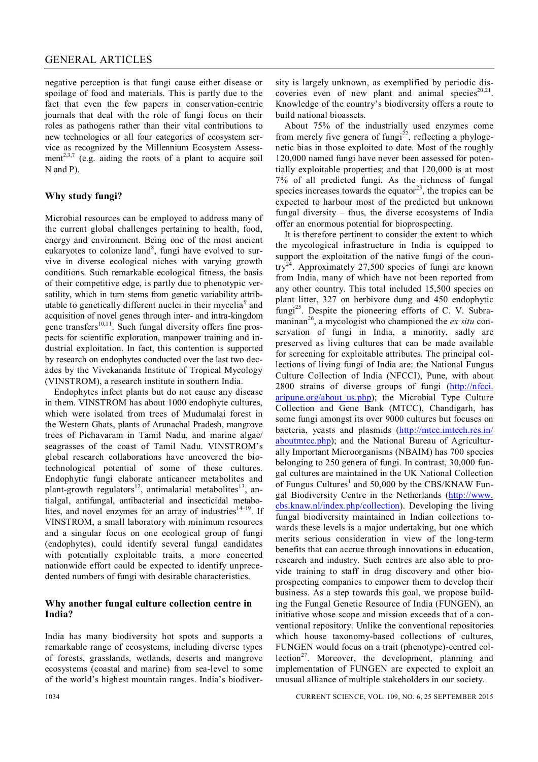### GENERAL ARTICLES

negative perception is that fungi cause either disease or spoilage of food and materials. This is partly due to the fact that even the few papers in conservation-centric journals that deal with the role of fungi focus on their roles as pathogens rather than their vital contributions to new technologies or all four categories of ecosystem service as recognized by the Millennium Ecosystem Assessment<sup>2,3,7</sup> (e.g. aiding the roots of a plant to acquire soil N and P).

## **Why study fungi?**

Microbial resources can be employed to address many of the current global challenges pertaining to health, food, energy and environment. Being one of the most ancient eukaryotes to colonize land<sup>8</sup>, fungi have evolved to survive in diverse ecological niches with varying growth conditions. Such remarkable ecological fitness, the basis of their competitive edge, is partly due to phenotypic versatility, which in turn stems from genetic variability attributable to genetically different nuclei in their mycelia<sup>9</sup> and acquisition of novel genes through inter- and intra-kingdom gene transfers $10,11$ . Such fungal diversity offers fine prospects for scientific exploration, manpower training and industrial exploitation. In fact, this contention is supported by research on endophytes conducted over the last two decades by the Vivekananda Institute of Tropical Mycology (VINSTROM), a research institute in southern India.

Endophytes infect plants but do not cause any disease in them. VINSTROM has about 1000 endophyte cultures, which were isolated from trees of Mudumalai forest in the Western Ghats, plants of Arunachal Pradesh, mangrove trees of Pichavaram in Tamil Nadu, and marine algae/ seagrasses of the coast of Tamil Nadu. VINSTROM's global research collaborations have uncovered the biotechnological potential of some of these cultures. Endophytic fungi elaborate anticancer metabolites and plant-growth regulators<sup>12</sup>, antimalarial metabolites<sup>13</sup>, antialgal, antifungal, antibacterial and insecticidal metabolites, and novel enzymes for an array of industries $14-19$ . If VINSTROM, a small laboratory with minimum resources and a singular focus on one ecological group of fungi (endophytes), could identify several fungal candidates with potentially exploitable traits, a more concerted nationwide effort could be expected to identify unprecedented numbers of fungi with desirable characteristics.

#### **Why another fungal culture collection centre in India?**

India has many biodiversity hot spots and supports a remarkable range of ecosystems, including diverse types of forests, grasslands, wetlands, deserts and mangrove ecosystems (coastal and marine) from sea-level to some of the world's highest mountain ranges. India's biodiversity is largely unknown, as exemplified by periodic discoveries even of new plant and animal species $20,21$ . Knowledge of the country's biodiversity offers a route to build national bioassets.

About 75% of the industrially used enzymes come from merely five genera of fungi<sup>22</sup>, reflecting a phylogenetic bias in those exploited to date. Most of the roughly 120,000 named fungi have never been assessed for potentially exploitable properties; and that 120,000 is at most 7% of all predicted fungi. As the richness of fungal species increases towards the equator<sup>23</sup>, the tropics can be expected to harbour most of the predicted but unknown fungal diversity – thus, the diverse ecosystems of India offer an enormous potential for bioprospecting.

It is therefore pertinent to consider the extent to which the mycological infrastructure in India is equipped to support the exploitation of the native fungi of the country<sup>24</sup>. Approximately 27,500 species of fungi are known from India, many of which have not been reported from any other country. This total included 15,500 species on plant litter, 327 on herbivore dung and 450 endophytic fungi<sup>25</sup>. Despite the pioneering efforts of C. V. Subramaninan<sup>26</sup>, a mycologist who championed the *ex situ* conservation of fungi in India, a minority, sadly are preserved as living cultures that can be made available for screening for exploitable attributes. The principal collections of living fungi of India are: the National Fungus Culture Collection of India (NFCCI), Pune, with about 2800 strains of diverse groups of fungi (http://nfcci. aripune.org/about us.php); the Microbial Type Culture Collection and Gene Bank (MTCC), Chandigarh, has some fungi amongst its over 9000 cultures but focuses on bacteria, yeasts and plasmids (http://mtcc.imtech.res.in/ aboutmtcc.php); and the National Bureau of Agriculturally Important Microorganisms (NBAIM) has 700 species belonging to 250 genera of fungi. In contrast, 30,000 fungal cultures are maintained in the UK National Collection of Fungus Cultures<sup>1</sup> and 50,000 by the CBS/KNAW Fungal Biodiversity Centre in the Netherlands (http://www. cbs.knaw.nl/index.php/collection). Developing the living fungal biodiversity maintained in Indian collections towards these levels is a major undertaking, but one which merits serious consideration in view of the long-term benefits that can accrue through innovations in education, research and industry. Such centres are also able to provide training to staff in drug discovery and other bioprospecting companies to empower them to develop their business. As a step towards this goal, we propose building the Fungal Genetic Resource of India (FUNGEN), an initiative whose scope and mission exceeds that of a conventional repository. Unlike the conventional repositories which house taxonomy-based collections of cultures, FUNGEN would focus on a trait (phenotype)-centred collection<sup>27</sup>. Moreover, the development, planning and implementation of FUNGEN are expected to exploit an unusual alliance of multiple stakeholders in our society.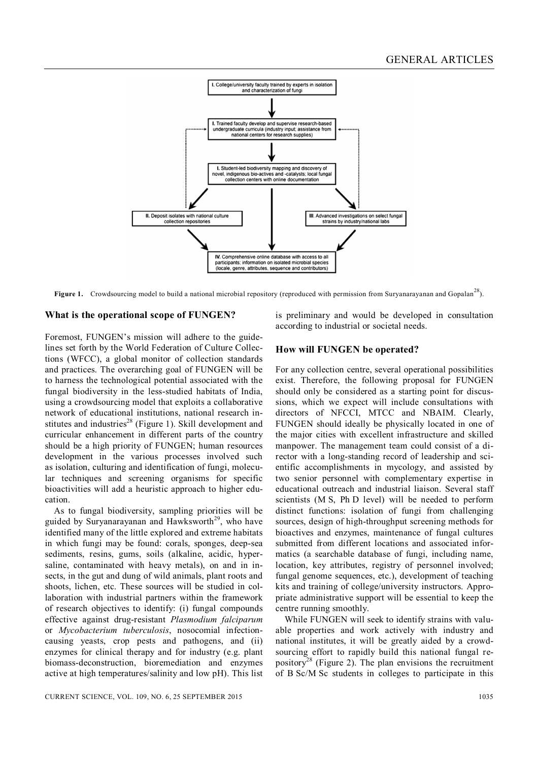

**Figure 1.** Crowdsourcing model to build a national microbial repository (reproduced with permission from Suryanarayanan and Gopalan<sup>28</sup>).

#### **What is the operational scope of FUNGEN?**

Foremost, FUNGEN's mission will adhere to the guidelines set forth by the World Federation of Culture Collections (WFCC), a global monitor of collection standards and practices. The overarching goal of FUNGEN will be to harness the technological potential associated with the fungal biodiversity in the less-studied habitats of India, using a crowdsourcing model that exploits a collaborative network of educational institutions, national research institutes and industries<sup>28</sup> (Figure 1). Skill development and curricular enhancement in different parts of the country should be a high priority of FUNGEN; human resources development in the various processes involved such as isolation, culturing and identification of fungi, molecular techniques and screening organisms for specific bioactivities will add a heuristic approach to higher education.

As to fungal biodiversity, sampling priorities will be guided by Suryanarayanan and Hawksworth<sup>29</sup>, who have identified many of the little explored and extreme habitats in which fungi may be found: corals, sponges, deep-sea sediments, resins, gums, soils (alkaline, acidic, hypersaline, contaminated with heavy metals), on and in insects, in the gut and dung of wild animals, plant roots and shoots, lichen, etc. These sources will be studied in collaboration with industrial partners within the framework of research objectives to identify: (i) fungal compounds effective against drug-resistant *Plasmodium falciparum* or *Mycobacterium tuberculosis*, nosocomial infectioncausing yeasts, crop pests and pathogens, and (ii) enzymes for clinical therapy and for industry (e.g. plant biomass-deconstruction, bioremediation and enzymes active at high temperatures/salinity and low pH). This list is preliminary and would be developed in consultation according to industrial or societal needs.

#### **How will FUNGEN be operated?**

For any collection centre, several operational possibilities exist. Therefore, the following proposal for FUNGEN should only be considered as a starting point for discussions, which we expect will include consultations with directors of NFCCI, MTCC and NBAIM. Clearly, FUNGEN should ideally be physically located in one of the major cities with excellent infrastructure and skilled manpower. The management team could consist of a director with a long-standing record of leadership and scientific accomplishments in mycology, and assisted by two senior personnel with complementary expertise in educational outreach and industrial liaison. Several staff scientists (M S, Ph D level) will be needed to perform distinct functions: isolation of fungi from challenging sources, design of high-throughput screening methods for bioactives and enzymes, maintenance of fungal cultures submitted from different locations and associated informatics (a searchable database of fungi, including name, location, key attributes, registry of personnel involved; fungal genome sequences, etc.), development of teaching kits and training of college/university instructors. Appropriate administrative support will be essential to keep the centre running smoothly.

While FUNGEN will seek to identify strains with valuable properties and work actively with industry and national institutes, it will be greatly aided by a crowdsourcing effort to rapidly build this national fungal repository<sup>28</sup> (Figure 2). The plan envisions the recruitment of B Sc/M Sc students in colleges to participate in this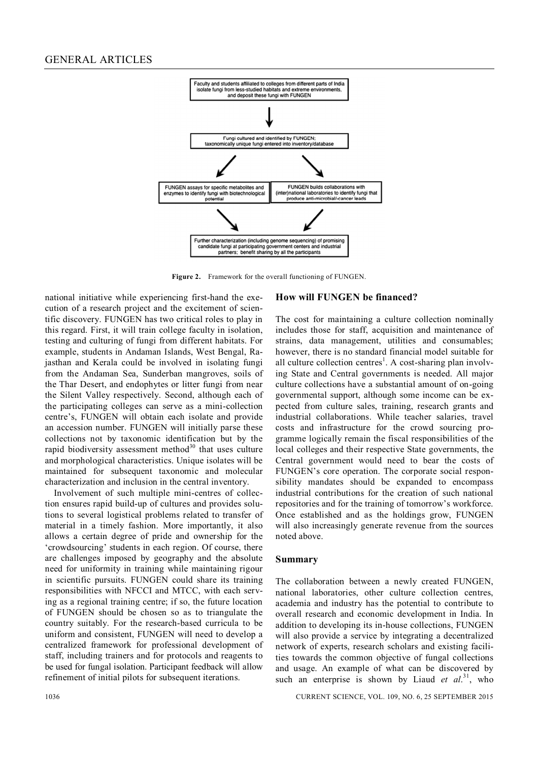

**Figure 2.** Framework for the overall functioning of FUNGEN.

national initiative while experiencing first-hand the execution of a research project and the excitement of scientific discovery. FUNGEN has two critical roles to play in this regard. First, it will train college faculty in isolation, testing and culturing of fungi from different habitats. For example, students in Andaman Islands, West Bengal, Rajasthan and Kerala could be involved in isolating fungi from the Andaman Sea, Sunderban mangroves, soils of the Thar Desert, and endophytes or litter fungi from near the Silent Valley respectively. Second, although each of the participating colleges can serve as a mini-collection centre's, FUNGEN will obtain each isolate and provide an accession number. FUNGEN will initially parse these collections not by taxonomic identification but by the rapid biodiversity assessment method $30$  that uses culture and morphological characteristics. Unique isolates will be maintained for subsequent taxonomic and molecular characterization and inclusion in the central inventory.

Involvement of such multiple mini-centres of collection ensures rapid build-up of cultures and provides solutions to several logistical problems related to transfer of material in a timely fashion. More importantly, it also allows a certain degree of pride and ownership for the 'crowdsourcing' students in each region. Of course, there are challenges imposed by geography and the absolute need for uniformity in training while maintaining rigour in scientific pursuits. FUNGEN could share its training responsibilities with NFCCI and MTCC, with each serving as a regional training centre; if so, the future location of FUNGEN should be chosen so as to triangulate the country suitably. For the research-based curricula to be uniform and consistent, FUNGEN will need to develop a centralized framework for professional development of staff, including trainers and for protocols and reagents to be used for fungal isolation. Participant feedback will allow refinement of initial pilots for subsequent iterations.

## **How will FUNGEN be financed?**

The cost for maintaining a culture collection nominally includes those for staff, acquisition and maintenance of strains, data management, utilities and consumables; however, there is no standard financial model suitable for all culture collection centres<sup>1</sup>. A cost-sharing plan involving State and Central governments is needed. All major culture collections have a substantial amount of on-going governmental support, although some income can be expected from culture sales, training, research grants and industrial collaborations. While teacher salaries, travel costs and infrastructure for the crowd sourcing programme logically remain the fiscal responsibilities of the local colleges and their respective State governments, the Central government would need to bear the costs of FUNGEN's core operation. The corporate social responsibility mandates should be expanded to encompass industrial contributions for the creation of such national repositories and for the training of tomorrow's workforce. Once established and as the holdings grow, FUNGEN will also increasingly generate revenue from the sources noted above.

#### **Summary**

The collaboration between a newly created FUNGEN, national laboratories, other culture collection centres, academia and industry has the potential to contribute to overall research and economic development in India. In addition to developing its in-house collections, FUNGEN will also provide a service by integrating a decentralized network of experts, research scholars and existing facilities towards the common objective of fungal collections and usage. An example of what can be discovered by such an enterprise is shown by Liaud *et al.*<sup>31</sup>, who